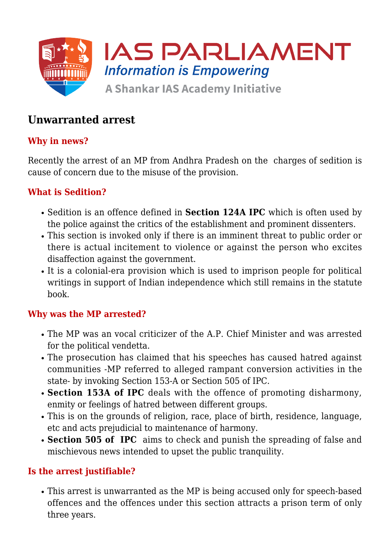

# **Unwarranted arrest**

## **Why in news?**

Recently the arrest of an MP from Andhra Pradesh on the charges of sedition is cause of concern due to the misuse of the provision.

### **What is Sedition?**

- Sedition is an offence defined in **Section 124A IPC** which is often used by the police against the critics of the establishment and prominent dissenters.
- This section is invoked only if there is an imminent threat to public order or there is actual incitement to violence or against the person who excites disaffection against the government.
- It is a colonial-era provision which is used to imprison people for political writings in support of Indian independence which still remains in the statute book.

#### **Why was the MP arrested?**

- The MP was an vocal criticizer of the A.P. Chief Minister and was arrested for the political vendetta.
- The prosecution has claimed that his speeches has caused hatred against communities -MP referred to alleged rampant conversion activities in the state- by invoking Section 153-A or Section 505 of IPC.
- **Section 153A of IPC** deals with the offence of promoting disharmony, enmity or feelings of hatred between different groups.
- This is on the grounds of religion, race, place of birth, residence, language, etc and acts prejudicial to maintenance of harmony.
- **Section 505 of IPC** aims to check and punish the spreading of false and mischievous news intended to upset the public tranquility.

## **Is the arrest justifiable?**

This arrest is unwarranted as the MP is being accused only for speech-based offences and the offences under this section attracts a prison term of only three years.